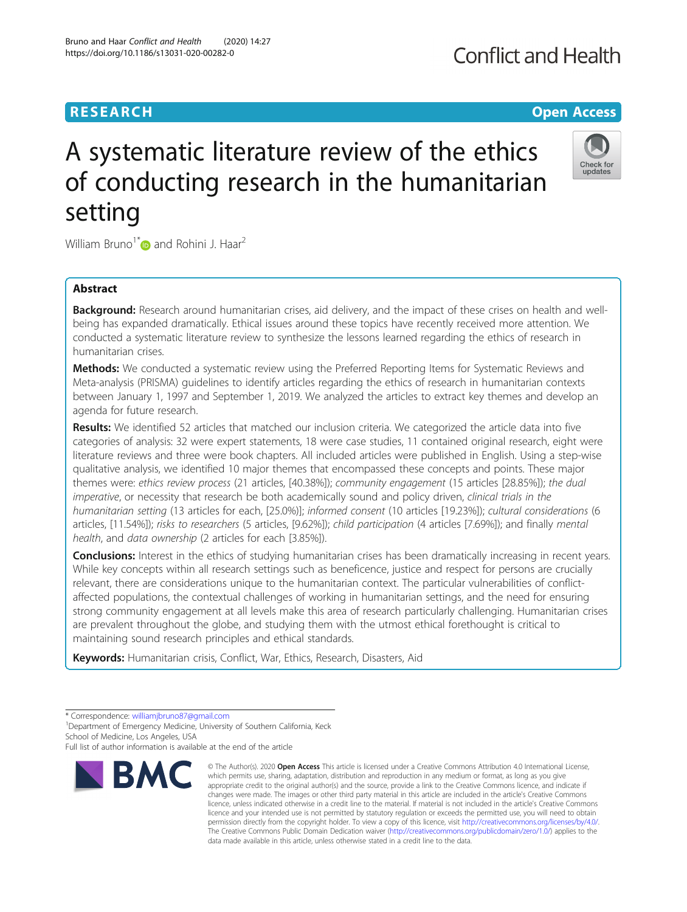### **RESEARCH CHE Open Access**

## A systematic literature review of the ethics of conducting research in the humanitarian setting

William Bruno<sup>1\*</sup> and Rohini J. Haar<sup>2</sup>

#### Abstract

Background: Research around humanitarian crises, aid delivery, and the impact of these crises on health and wellbeing has expanded dramatically. Ethical issues around these topics have recently received more attention. We conducted a systematic literature review to synthesize the lessons learned regarding the ethics of research in humanitarian crises.

Methods: We conducted a systematic review using the Preferred Reporting Items for Systematic Reviews and Meta-analysis (PRISMA) guidelines to identify articles regarding the ethics of research in humanitarian contexts between January 1, 1997 and September 1, 2019. We analyzed the articles to extract key themes and develop an agenda for future research.

Results: We identified 52 articles that matched our inclusion criteria. We categorized the article data into five categories of analysis: 32 were expert statements, 18 were case studies, 11 contained original research, eight were literature reviews and three were book chapters. All included articles were published in English. Using a step-wise qualitative analysis, we identified 10 major themes that encompassed these concepts and points. These major themes were: ethics review process (21 articles, [40.38%]); community engagement (15 articles [28.85%]); the dual imperative, or necessity that research be both academically sound and policy driven, clinical trials in the humanitarian setting (13 articles for each, [25.0%)]; informed consent (10 articles [19.23%]); cultural considerations (6 articles, [11.54%]); risks to researchers (5 articles, [9.62%]); child participation (4 articles [7.69%]); and finally mental health, and data ownership (2 articles for each [3.85%]).

**Conclusions:** Interest in the ethics of studying humanitarian crises has been dramatically increasing in recent years. While key concepts within all research settings such as beneficence, justice and respect for persons are crucially relevant, there are considerations unique to the humanitarian context. The particular vulnerabilities of conflictaffected populations, the contextual challenges of working in humanitarian settings, and the need for ensuring strong community engagement at all levels make this area of research particularly challenging. Humanitarian crises are prevalent throughout the globe, and studying them with the utmost ethical forethought is critical to maintaining sound research principles and ethical standards.

Keywords: Humanitarian crisis, Conflict, War, Ethics, Research, Disasters, Aid

**BMC** 



<sup>©</sup> The Author(s), 2020 **Open Access** This article is licensed under a Creative Commons Attribution 4.0 International License, which permits use, sharing, adaptation, distribution and reproduction in any medium or format, as long as you give appropriate credit to the original author(s) and the source, provide a link to the Creative Commons licence, and indicate if changes were made. The images or other third party material in this article are included in the article's Creative Commons licence, unless indicated otherwise in a credit line to the material. If material is not included in the article's Creative Commons licence and your intended use is not permitted by statutory regulation or exceeds the permitted use, you will need to obtain permission directly from the copyright holder. To view a copy of this licence, visit [http://creativecommons.org/licenses/by/4.0/.](http://creativecommons.org/licenses/by/4.0/) The Creative Commons Public Domain Dedication waiver [\(http://creativecommons.org/publicdomain/zero/1.0/](http://creativecommons.org/publicdomain/zero/1.0/)) applies to the data made available in this article, unless otherwise stated in a credit line to the data.



<sup>\*</sup> Correspondence: [williamjbruno87@gmail.com](mailto:williamjbruno87@gmail.com) <sup>1</sup>

<sup>&</sup>lt;sup>1</sup> Department of Emergency Medicine, University of Southern California, Keck School of Medicine, Los Angeles, USA

Full list of author information is available at the end of the article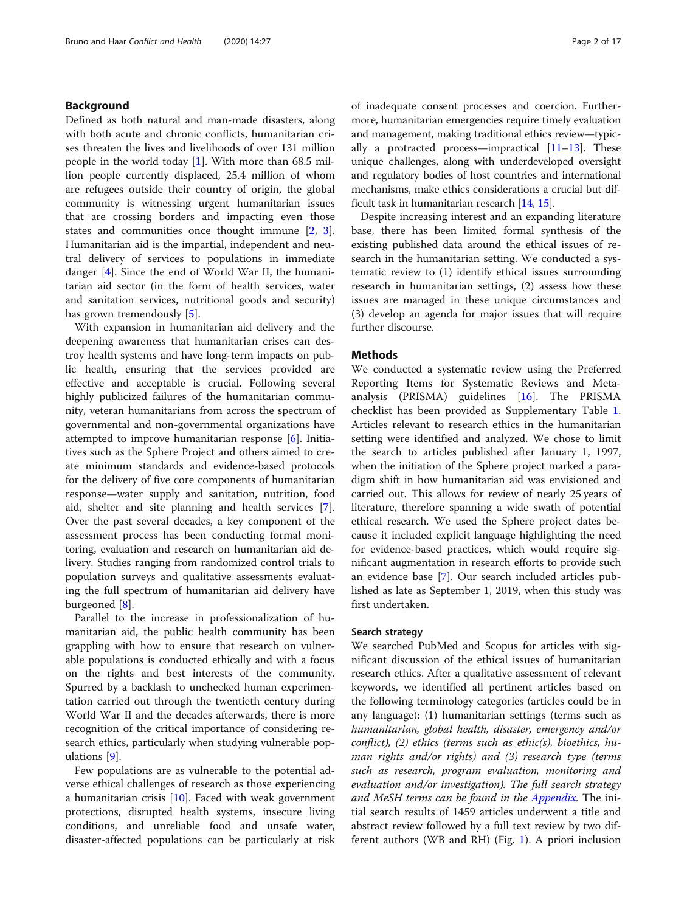#### Background

Defined as both natural and man-made disasters, along with both acute and chronic conflicts, humanitarian crises threaten the lives and livelihoods of over 131 million people in the world today [[1\]](#page-15-0). With more than 68.5 million people currently displaced, 25.4 million of whom are refugees outside their country of origin, the global community is witnessing urgent humanitarian issues that are crossing borders and impacting even those states and communities once thought immune [[2,](#page-15-0) [3](#page-15-0)]. Humanitarian aid is the impartial, independent and neutral delivery of services to populations in immediate danger [\[4\]](#page-15-0). Since the end of World War II, the humanitarian aid sector (in the form of health services, water and sanitation services, nutritional goods and security) has grown tremendously [[5](#page-15-0)].

With expansion in humanitarian aid delivery and the deepening awareness that humanitarian crises can destroy health systems and have long-term impacts on public health, ensuring that the services provided are effective and acceptable is crucial. Following several highly publicized failures of the humanitarian community, veteran humanitarians from across the spectrum of governmental and non-governmental organizations have attempted to improve humanitarian response [[6\]](#page-15-0). Initiatives such as the Sphere Project and others aimed to create minimum standards and evidence-based protocols for the delivery of five core components of humanitarian response—water supply and sanitation, nutrition, food aid, shelter and site planning and health services [\[7](#page-15-0)]. Over the past several decades, a key component of the assessment process has been conducting formal monitoring, evaluation and research on humanitarian aid delivery. Studies ranging from randomized control trials to population surveys and qualitative assessments evaluating the full spectrum of humanitarian aid delivery have burgeoned [\[8](#page-15-0)].

Parallel to the increase in professionalization of humanitarian aid, the public health community has been grappling with how to ensure that research on vulnerable populations is conducted ethically and with a focus on the rights and best interests of the community. Spurred by a backlash to unchecked human experimentation carried out through the twentieth century during World War II and the decades afterwards, there is more recognition of the critical importance of considering research ethics, particularly when studying vulnerable populations [\[9](#page-15-0)].

Few populations are as vulnerable to the potential adverse ethical challenges of research as those experiencing a humanitarian crisis [\[10](#page-15-0)]. Faced with weak government protections, disrupted health systems, insecure living conditions, and unreliable food and unsafe water, disaster-affected populations can be particularly at risk of inadequate consent processes and coercion. Furthermore, humanitarian emergencies require timely evaluation and management, making traditional ethics review—typically a protracted process—impractical  $[11-13]$  $[11-13]$  $[11-13]$ . These unique challenges, along with underdeveloped oversight and regulatory bodies of host countries and international mechanisms, make ethics considerations a crucial but difficult task in humanitarian research [\[14,](#page-15-0) [15](#page-15-0)].

Despite increasing interest and an expanding literature base, there has been limited formal synthesis of the existing published data around the ethical issues of research in the humanitarian setting. We conducted a systematic review to (1) identify ethical issues surrounding research in humanitarian settings, (2) assess how these issues are managed in these unique circumstances and (3) develop an agenda for major issues that will require further discourse.

#### Methods

We conducted a systematic review using the Preferred Reporting Items for Systematic Reviews and Metaanalysis (PRISMA) guidelines [[16\]](#page-15-0). The PRISMA checklist has been provided as Supplementary Table [1](#page-15-0). Articles relevant to research ethics in the humanitarian setting were identified and analyzed. We chose to limit the search to articles published after January 1, 1997, when the initiation of the Sphere project marked a paradigm shift in how humanitarian aid was envisioned and carried out. This allows for review of nearly 25 years of literature, therefore spanning a wide swath of potential ethical research. We used the Sphere project dates because it included explicit language highlighting the need for evidence-based practices, which would require significant augmentation in research efforts to provide such an evidence base [[7](#page-15-0)]. Our search included articles published as late as September 1, 2019, when this study was first undertaken.

#### Search strategy

We searched PubMed and Scopus for articles with significant discussion of the ethical issues of humanitarian research ethics. After a qualitative assessment of relevant keywords, we identified all pertinent articles based on the following terminology categories (articles could be in any language): (1) humanitarian settings (terms such as humanitarian, global health, disaster, emergency and/or conflict), (2) ethics (terms such as ethic(s), bioethics, human rights and/or rights) and (3) research type (terms such as research, program evaluation, monitoring and evaluation and/or investigation). The full search strategy and MeSH terms can be found in the [Appendix.](#page-14-0) The initial search results of 1459 articles underwent a title and abstract review followed by a full text review by two different authors (WB and RH) (Fig. [1](#page-2-0)). A priori inclusion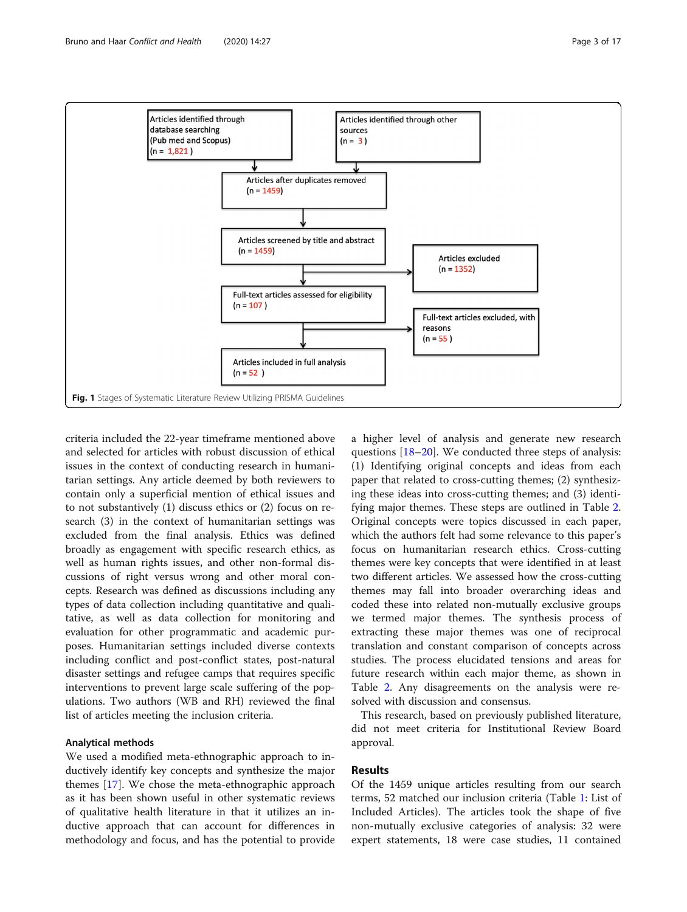<span id="page-2-0"></span>

criteria included the 22-year timeframe mentioned above and selected for articles with robust discussion of ethical issues in the context of conducting research in humanitarian settings. Any article deemed by both reviewers to contain only a superficial mention of ethical issues and to not substantively (1) discuss ethics or (2) focus on research (3) in the context of humanitarian settings was excluded from the final analysis. Ethics was defined broadly as engagement with specific research ethics, as well as human rights issues, and other non-formal discussions of right versus wrong and other moral concepts. Research was defined as discussions including any types of data collection including quantitative and qualitative, as well as data collection for monitoring and evaluation for other programmatic and academic purposes. Humanitarian settings included diverse contexts including conflict and post-conflict states, post-natural disaster settings and refugee camps that requires specific interventions to prevent large scale suffering of the populations. Two authors (WB and RH) reviewed the final list of articles meeting the inclusion criteria.

#### Analytical methods

We used a modified meta-ethnographic approach to inductively identify key concepts and synthesize the major themes [[17](#page-15-0)]. We chose the meta-ethnographic approach as it has been shown useful in other systematic reviews of qualitative health literature in that it utilizes an inductive approach that can account for differences in methodology and focus, and has the potential to provide a higher level of analysis and generate new research questions [[18](#page-15-0)–[20](#page-15-0)]. We conducted three steps of analysis: (1) Identifying original concepts and ideas from each paper that related to cross-cutting themes; (2) synthesizing these ideas into cross-cutting themes; and (3) identifying major themes. These steps are outlined in Table [2](#page-6-0). Original concepts were topics discussed in each paper, which the authors felt had some relevance to this paper's focus on humanitarian research ethics. Cross-cutting themes were key concepts that were identified in at least two different articles. We assessed how the cross-cutting themes may fall into broader overarching ideas and coded these into related non-mutually exclusive groups we termed major themes. The synthesis process of extracting these major themes was one of reciprocal translation and constant comparison of concepts across studies. The process elucidated tensions and areas for future research within each major theme, as shown in Table [2](#page-6-0). Any disagreements on the analysis were resolved with discussion and consensus.

This research, based on previously published literature, did not meet criteria for Institutional Review Board approval.

#### Results

Of the 1459 unique articles resulting from our search terms, 52 matched our inclusion criteria (Table [1](#page-3-0): List of Included Articles). The articles took the shape of five non-mutually exclusive categories of analysis: 32 were expert statements, 18 were case studies, 11 contained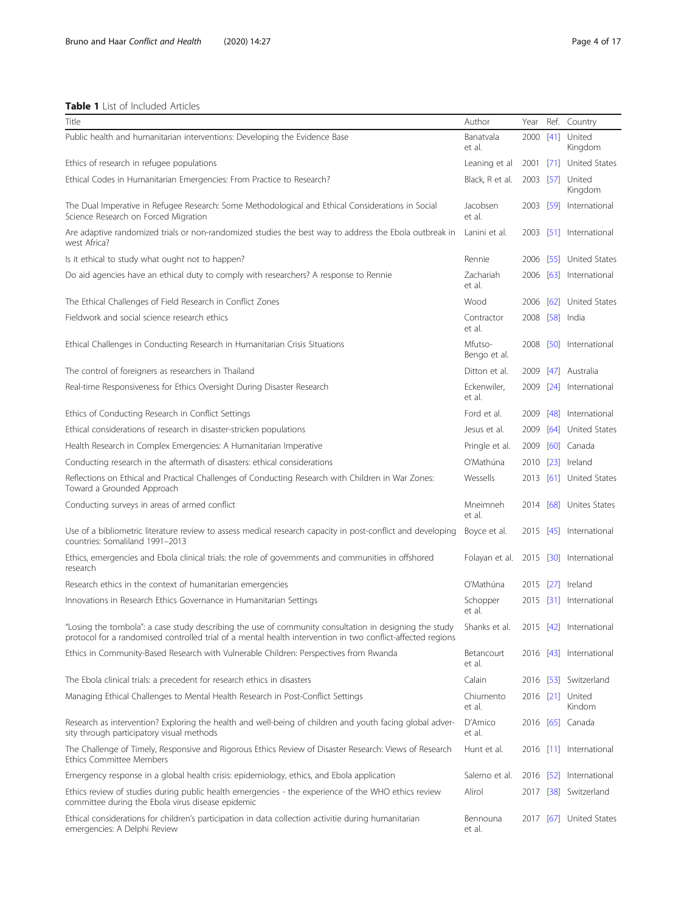#### <span id="page-3-0"></span>Table 1 List of Included Articles

| Title                                                                                                                                                                                                                 | Author                  | Year      |      | Ref. Country               |
|-----------------------------------------------------------------------------------------------------------------------------------------------------------------------------------------------------------------------|-------------------------|-----------|------|----------------------------|
| Public health and humanitarian interventions: Developing the Evidence Base                                                                                                                                            | Banatvala<br>et al.     | 2000      | [41] | United<br>Kingdom          |
| Ethics of research in refugee populations                                                                                                                                                                             | Leaning et al           | 2001      |      | [71] United States         |
| Ethical Codes in Humanitarian Emergencies: From Practice to Research?                                                                                                                                                 | Black, R et al.         | 2003 [57] |      | United<br>Kingdom          |
| The Dual Imperative in Refugee Research: Some Methodological and Ethical Considerations in Social<br>Science Research on Forced Migration                                                                             | Jacobsen<br>et al.      | 2003      |      | [59] International         |
| Are adaptive randomized trials or non-randomized studies the best way to address the Ebola outbreak in<br>west Africa?                                                                                                | Lanini et al.           |           |      | 2003 [51] International    |
| Is it ethical to study what ought not to happen?                                                                                                                                                                      | Rennie                  | 2006      |      | [55] United States         |
| Do aid agencies have an ethical duty to comply with researchers? A response to Rennie                                                                                                                                 | Zachariah<br>et al.     |           |      | 2006 [63] International    |
| The Ethical Challenges of Field Research in Conflict Zones                                                                                                                                                            | Wood                    | 2006      |      | [62] United States         |
| Fieldwork and social science research ethics                                                                                                                                                                          | Contractor<br>et al.    |           |      | 2008 [58] India            |
| Ethical Challenges in Conducting Research in Humanitarian Crisis Situations                                                                                                                                           | Mfutso-<br>Bengo et al. | 2008      |      | [50] International         |
| The control of foreigners as researchers in Thailand                                                                                                                                                                  | Ditton et al.           | 2009      |      | [47] Australia             |
| Real-time Responsiveness for Ethics Oversight During Disaster Research                                                                                                                                                | Eckenwiler,<br>et al.   | 2009      |      | [24] International         |
| Ethics of Conducting Research in Conflict Settings                                                                                                                                                                    | Ford et al.             | 2009      |      | [48] International         |
| Ethical considerations of research in disaster-stricken populations                                                                                                                                                   | Jesus et al.            | 2009      |      | [64] United States         |
| Health Research in Complex Emergencies: A Humanitarian Imperative                                                                                                                                                     | Pringle et al.          | 2009      |      | [60] Canada                |
| Conducting research in the aftermath of disasters: ethical considerations                                                                                                                                             | O'Mathúna               | 2010      |      | [23] Ireland               |
| Reflections on Ethical and Practical Challenges of Conducting Research with Children in War Zones:<br>Toward a Grounded Approach                                                                                      | Wessells                | 2013      |      | [61] United States         |
| Conducting surveys in areas of armed conflict                                                                                                                                                                         | Mneimneh<br>et al.      |           |      | 2014 [68] Unites States    |
| Use of a bibliometric literature review to assess medical research capacity in post-conflict and developing<br>countries: Somaliland 1991-2013                                                                        | Boyce et al.            |           |      | 2015 [45] International    |
| Ethics, emergencies and Ebola clinical trials: the role of governments and communities in offshored<br>research                                                                                                       | Folayan et al.          |           |      | 2015 [30] International    |
| Research ethics in the context of humanitarian emergencies                                                                                                                                                            | O'Mathúna               | 2015      |      | [27] Ireland               |
| Innovations in Research Ethics Governance in Humanitarian Settings                                                                                                                                                    | Schopper<br>et al.      |           |      | 2015 [31] International    |
| "Losing the tombola": a case study describing the use of community consultation in designing the study<br>protocol for a randomised controlled trial of a mental health intervention in two conflict-affected regions | Shanks et al.           |           |      | 2015 [42] International    |
| Ethics in Community-Based Research with Vulnerable Children: Perspectives from Rwanda                                                                                                                                 | Betancourt<br>et al.    |           |      | 2016 [43] International    |
| The Ebola clinical trials: a precedent for research ethics in disasters                                                                                                                                               | Calain                  |           |      | 2016 [53] Switzerland      |
| Managing Ethical Challenges to Mental Health Research in Post-Conflict Settings                                                                                                                                       | Chiumento<br>et al.     |           |      | 2016 [21] United<br>Kindom |
| Research as intervention? Exploring the health and well-being of children and youth facing global adver-<br>sity through participatory visual methods                                                                 | D'Amico<br>et al.       |           |      | 2016 [65] Canada           |
| The Challenge of Timely, Responsive and Rigorous Ethics Review of Disaster Research: Views of Research<br><b>Ethics Committee Members</b>                                                                             | Hunt et al.             |           |      | 2016 [11] International    |
| Emergency response in a global health crisis: epidemiology, ethics, and Ebola application                                                                                                                             | Salerno et al.          |           |      | 2016 [52] International    |
| Ethics review of studies during public health emergencies - the experience of the WHO ethics review<br>committee during the Ebola virus disease epidemic                                                              | Alirol                  |           |      | 2017 [38] Switzerland      |
| Ethical considerations for children's participation in data collection activitie during humanitarian<br>emergencies: A Delphi Review                                                                                  | Bennouna<br>et al.      | 2017      |      | [67] United States         |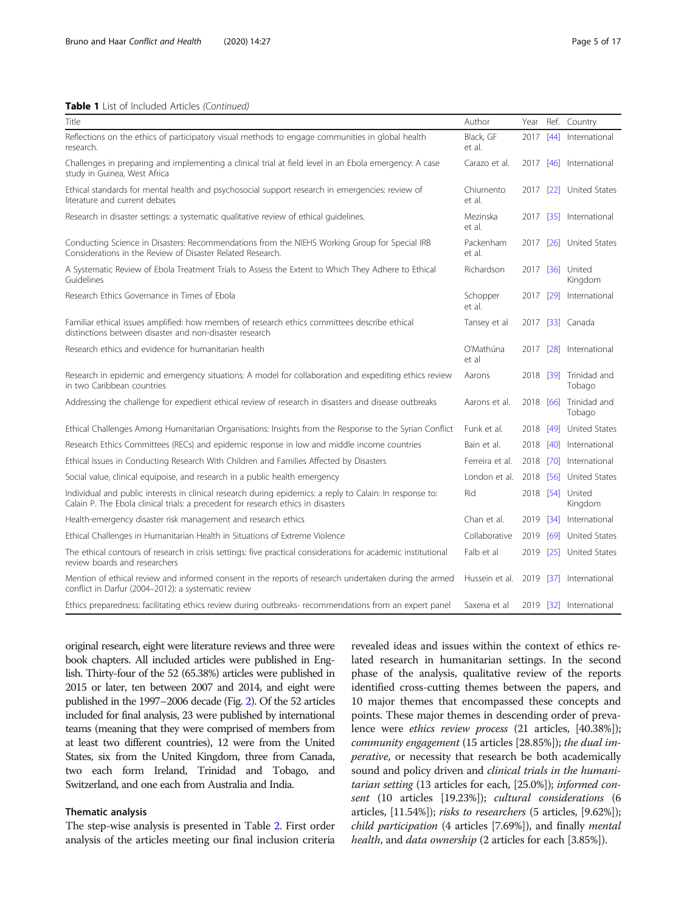#### Table 1 List of Included Articles (Continued)

| Title                                                                                                                                                                                          | Author              | Year |        | Ref. Country                     |
|------------------------------------------------------------------------------------------------------------------------------------------------------------------------------------------------|---------------------|------|--------|----------------------------------|
| Reflections on the ethics of participatory visual methods to engage communities in global health<br>research.                                                                                  | Black, GF<br>et al. | 2017 | $[44]$ | International                    |
| Challenges in preparing and implementing a clinical trial at field level in an Ebola emergency: A case<br>study in Guinea, West Africa                                                         | Carazo et al.       |      |        | 2017 [46] International          |
| Ethical standards for mental health and psychosocial support research in emergencies: review of<br>literature and current debates                                                              | Chiumento<br>et al. | 2017 |        | [22] United States               |
| Research in disaster settings: a systematic qualitative review of ethical quidelines.                                                                                                          | Mezinska<br>et al.  | 2017 |        | [35] International               |
| Conducting Science in Disasters: Recommendations from the NIEHS Working Group for Special IRB<br>Considerations in the Review of Disaster Related Research.                                    | Packenham<br>et al. | 2017 |        | [26] United States               |
| A Systematic Review of Ebola Treatment Trials to Assess the Extent to Which They Adhere to Ethical<br>Guidelines                                                                               | Richardson          |      |        | 2017 [36] United<br>Kingdom      |
| Research Ethics Governance in Times of Ebola                                                                                                                                                   | Schopper<br>et al.  | 2017 | [29]   | International                    |
| Familiar ethical issues amplified: how members of research ethics committees describe ethical<br>distinctions between disaster and non-disaster research                                       | Tansey et al        |      |        | 2017 [33] Canada                 |
| Research ethics and evidence for humanitarian health                                                                                                                                           | O'Mathúna<br>et al  | 2017 |        | [28] International               |
| Research in epidemic and emergency situations: A model for collaboration and expediting ethics review<br>in two Caribbean countries                                                            | Aarons              |      |        | 2018 [39] Trinidad and<br>Tobago |
| Addressing the challenge for expedient ethical review of research in disasters and disease outbreaks                                                                                           | Aarons et al.       |      |        | 2018 [66] Trinidad and<br>Tobago |
| Ethical Challenges Among Humanitarian Organisations: Insights from the Response to the Syrian Conflict                                                                                         | Funk et al.         | 2018 |        | [49] United States               |
| Research Ethics Committees (RECs) and epidemic response in low and middle income countries                                                                                                     | Bain et al.         | 2018 |        | [40] International               |
| Ethical Issues in Conducting Research With Children and Families Affected by Disasters                                                                                                         | Ferreira et al.     | 2018 |        | [70] International               |
| Social value, clinical equipoise, and research in a public health emergency                                                                                                                    | London et al.       | 2018 |        | [56] United States               |
| Individual and public interests in clinical research during epidemics: a reply to Calain: In response to:<br>Calain P. The Ebola clinical trials: a precedent for research ethics in disasters | Rid                 |      |        | 2018 [54] United<br>Kingdom      |
| Health-emergency disaster risk management and research ethics                                                                                                                                  | Chan et al.         | 2019 |        | [34] International               |
| Ethical Challenges in Humanitarian Health in Situations of Extreme Violence                                                                                                                    | Collaborative       |      |        | 2019 [69] United States          |
| The ethical contours of research in crisis settings: five practical considerations for academic institutional<br>review boards and researchers                                                 | Falb et al          | 2019 |        | [25] United States               |
| Mention of ethical review and informed consent in the reports of research undertaken during the armed<br>conflict in Darfur (2004-2012): a systematic review                                   | Hussein et al.      |      |        | 2019 [37] International          |
| Ethics preparedness: facilitating ethics review during outbreaks- recommendations from an expert panel                                                                                         | Saxena et al        |      |        | 2019 [32] International          |

original research, eight were literature reviews and three were book chapters. All included articles were published in English. Thirty-four of the 52 (65.38%) articles were published in 2015 or later, ten between 2007 and 2014, and eight were published in the 1997–2006 decade (Fig. [2\)](#page-5-0). Of the 52 articles included for final analysis, 23 were published by international teams (meaning that they were comprised of members from at least two different countries), 12 were from the United States, six from the United Kingdom, three from Canada, two each form Ireland, Trinidad and Tobago, and Switzerland, and one each from Australia and India.

#### Thematic analysis

The step-wise analysis is presented in Table [2.](#page-6-0) First order analysis of the articles meeting our final inclusion criteria

revealed ideas and issues within the context of ethics related research in humanitarian settings. In the second phase of the analysis, qualitative review of the reports identified cross-cutting themes between the papers, and 10 major themes that encompassed these concepts and points. These major themes in descending order of prevalence were ethics review process (21 articles, [40.38%]); community engagement (15 articles [28.85%]); the dual imperative, or necessity that research be both academically sound and policy driven and *clinical trials in the humani*tarian setting (13 articles for each, [25.0%]); informed consent (10 articles [19.23%]); cultural considerations (6 articles, [11.54%]); risks to researchers (5 articles, [9.62%]); child participation (4 articles [7.69%]), and finally mental health, and *data ownership* (2 articles for each [3.85%]).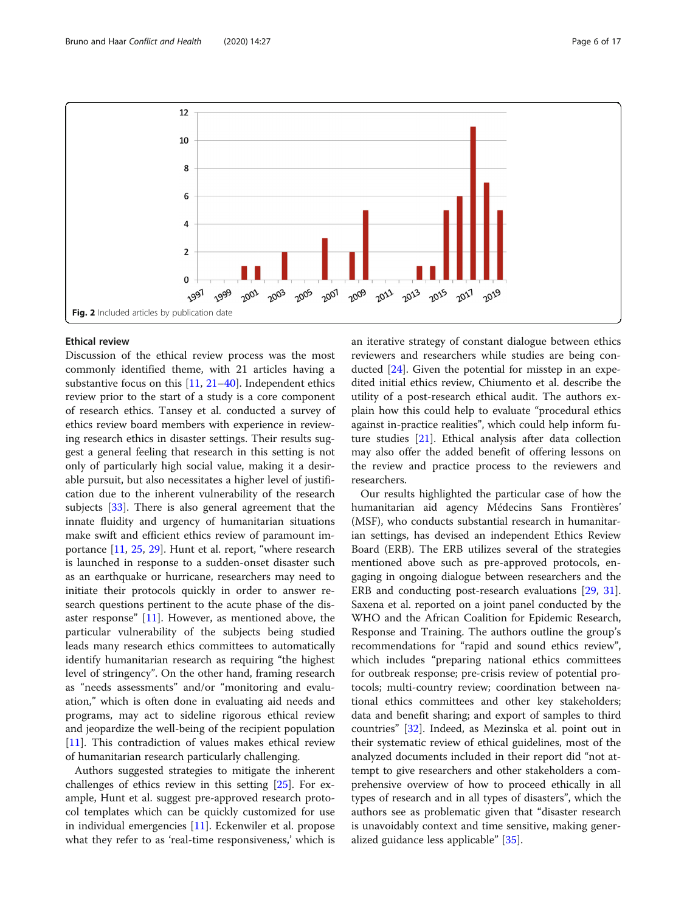<span id="page-5-0"></span>

#### Ethical review

Discussion of the ethical review process was the most commonly identified theme, with 21 articles having a substantive focus on this [[11,](#page-15-0) [21](#page-15-0)–[40](#page-16-0)]. Independent ethics review prior to the start of a study is a core component of research ethics. Tansey et al. conducted a survey of ethics review board members with experience in reviewing research ethics in disaster settings. Their results suggest a general feeling that research in this setting is not only of particularly high social value, making it a desirable pursuit, but also necessitates a higher level of justification due to the inherent vulnerability of the research subjects [[33\]](#page-16-0). There is also general agreement that the innate fluidity and urgency of humanitarian situations make swift and efficient ethics review of paramount importance [[11,](#page-15-0) [25,](#page-15-0) [29\]](#page-16-0). Hunt et al. report, "where research is launched in response to a sudden-onset disaster such as an earthquake or hurricane, researchers may need to initiate their protocols quickly in order to answer research questions pertinent to the acute phase of the disaster response" [[11](#page-15-0)]. However, as mentioned above, the particular vulnerability of the subjects being studied leads many research ethics committees to automatically identify humanitarian research as requiring "the highest level of stringency". On the other hand, framing research as "needs assessments" and/or "monitoring and evaluation," which is often done in evaluating aid needs and programs, may act to sideline rigorous ethical review and jeopardize the well-being of the recipient population [[11\]](#page-15-0). This contradiction of values makes ethical review of humanitarian research particularly challenging.

Authors suggested strategies to mitigate the inherent challenges of ethics review in this setting [\[25\]](#page-15-0). For example, Hunt et al. suggest pre-approved research protocol templates which can be quickly customized for use in individual emergencies [\[11](#page-15-0)]. Eckenwiler et al. propose what they refer to as 'real-time responsiveness,' which is an iterative strategy of constant dialogue between ethics reviewers and researchers while studies are being conducted [\[24\]](#page-15-0). Given the potential for misstep in an expedited initial ethics review, Chiumento et al. describe the utility of a post-research ethical audit. The authors explain how this could help to evaluate "procedural ethics against in-practice realities", which could help inform future studies [[21\]](#page-15-0). Ethical analysis after data collection may also offer the added benefit of offering lessons on the review and practice process to the reviewers and researchers.

Our results highlighted the particular case of how the humanitarian aid agency Médecins Sans Frontières' (MSF), who conducts substantial research in humanitarian settings, has devised an independent Ethics Review Board (ERB). The ERB utilizes several of the strategies mentioned above such as pre-approved protocols, engaging in ongoing dialogue between researchers and the ERB and conducting post-research evaluations [\[29](#page-16-0), [31](#page-16-0)]. Saxena et al. reported on a joint panel conducted by the WHO and the African Coalition for Epidemic Research, Response and Training. The authors outline the group's recommendations for "rapid and sound ethics review", which includes "preparing national ethics committees for outbreak response; pre-crisis review of potential protocols; multi-country review; coordination between national ethics committees and other key stakeholders; data and benefit sharing; and export of samples to third countries" [\[32](#page-16-0)]. Indeed, as Mezinska et al. point out in their systematic review of ethical guidelines, most of the analyzed documents included in their report did "not attempt to give researchers and other stakeholders a comprehensive overview of how to proceed ethically in all types of research and in all types of disasters", which the authors see as problematic given that "disaster research is unavoidably context and time sensitive, making generalized guidance less applicable" [\[35](#page-16-0)].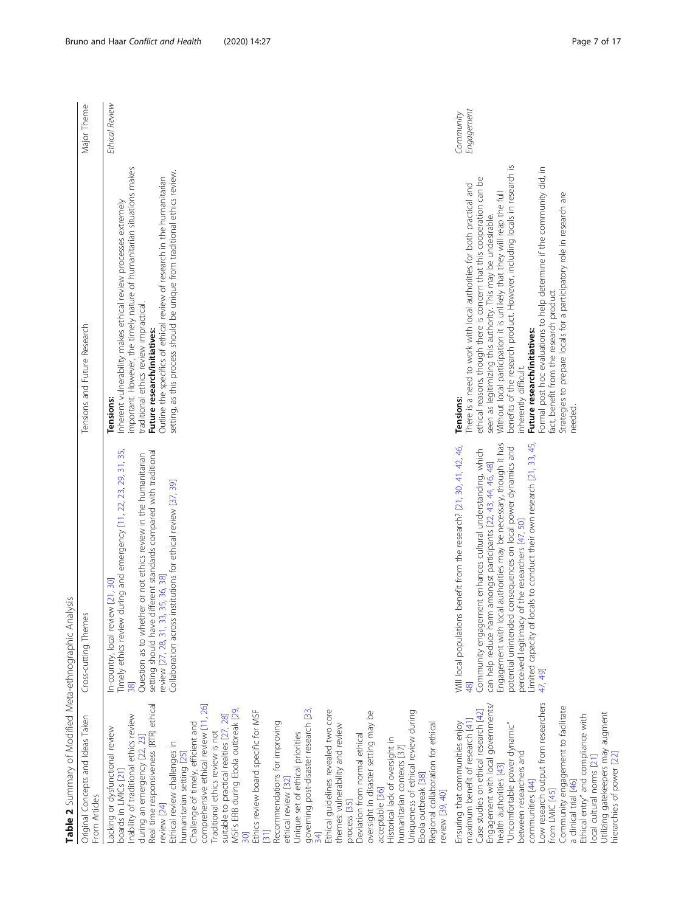<span id="page-6-0"></span>

| Original Concepts and Ideas Taken<br>From Articles                                                                                                                                                                                                                                                                                                                                                                                                                                                                                                                                                                                                                                                                                                                                                                                                                                                                                                                                                                                                              | nes<br>Cross-cutting Them                                                                                                                                                                                                                                                                                                                                                                                                                                                                      | Tensions and Future Research                                                                                                                                                                                                                                                                                                                                                                                                                                                                                                                                                                                                                                    | Major Theme             |
|-----------------------------------------------------------------------------------------------------------------------------------------------------------------------------------------------------------------------------------------------------------------------------------------------------------------------------------------------------------------------------------------------------------------------------------------------------------------------------------------------------------------------------------------------------------------------------------------------------------------------------------------------------------------------------------------------------------------------------------------------------------------------------------------------------------------------------------------------------------------------------------------------------------------------------------------------------------------------------------------------------------------------------------------------------------------|------------------------------------------------------------------------------------------------------------------------------------------------------------------------------------------------------------------------------------------------------------------------------------------------------------------------------------------------------------------------------------------------------------------------------------------------------------------------------------------------|-----------------------------------------------------------------------------------------------------------------------------------------------------------------------------------------------------------------------------------------------------------------------------------------------------------------------------------------------------------------------------------------------------------------------------------------------------------------------------------------------------------------------------------------------------------------------------------------------------------------------------------------------------------------|-------------------------|
| Real time responsiveness (RTR) ethical<br>comprehensive ethical review [11, 26]<br>MSFs ERB during Ebola outbreak [29,<br>governing post-disaster research [33,<br>Ethical guidelines revealed two core<br>Uniqueness of ethical review during<br>Ethics review board specific for MSF<br>oversight in disaster setting may be<br>Inability of traditional ethics review<br>suitable to practical realties [27, 28]<br>Challenge of timely, efficient and<br>Recommendations for improving<br>Regional collaboration for ethical<br>themes: vulnerability and review<br>Lacking or dysfunctional review<br>Traditional ethics review is not<br>Unique set of ethical priorities<br>Deviation from normal ethical<br>during an emergency [22, 23]<br>Historical lack of oversight in<br>Ethical review challenges in<br>humanitarian contexts [37]<br>humanitarian setting [25]<br>boards in LMICs [21]<br>Ebola outbreak [38]<br>ethical review [32]<br>acceptable [36]<br>review [39, 40]<br>process [35]<br>review [24]<br>$\overline{31}$<br>$\overline{30}$ | Timely ethics review during and emergency [11, 22, 23, 29, 31, 35,<br>setting should have different standards compared with traditional<br>Question as to whether or not ethics review in the humanitarian<br>Collaboration across institutions for ethical review [37, 39]<br>eview [27, 28, 31, 33, 35, 36, 38]<br>In-country, local review [21, 30]<br>38                                                                                                                                   | important. However, the timely nature of humanitarian situations makes<br>setting, as this process should be unique from traditional ethics review.<br>Outline the specifics of ethical review of research in the humanitarian<br>Inherent vulnerability makes ethical review processes extremely<br>traditional ethics review impractical.<br>Future research/initiatives:<br>Tensions:                                                                                                                                                                                                                                                                        | Ethical Review          |
| Low research output from researchers<br>Engagement with local governments/<br>Community engagement to facilitate<br>Case studies on ethical research [42]<br>Utilizing gatekeepers may augment<br>Ethical entry" and compliance with<br>maximum benefit of research [41]<br>Ensuring that communities enjoy<br>"Uncomfortable power dynamic"<br>between researchers and<br>local cultural norms [21]<br>health authorities [43]<br>communities [44]<br>a clinical trial [46]<br>from LMIC [45]                                                                                                                                                                                                                                                                                                                                                                                                                                                                                                                                                                  | Limited capacity of locals to conduct their own research [21, 33, 45,<br>local authorities may be necessary, though it has<br>Will local populations benefit from the research? [21, 30, 41, 42, 46,<br>potential unintended consequences on local power dynamics and<br>Community engagement enhances cultural understanding, which<br>can help reduce harm amongst participants [22, 43, 44, 46, 48]<br>perceived legitimacy of the researchers [47, 50]<br>Engagement with<br>47, 49]<br>48 | benefits of the research product. However, including locals in research is<br>Formal post hoc evaluations to help determine if the community did, in<br>ethical reasons, though there is concern that this cooperation can be<br>There is a need to work with local authorities for both practical and<br>Without local participation it is unlikely that they will reap the full<br>Strategies to prepare locals for a participatory role in research are<br>seen as legitimizing this authority. This may be undesirable.<br>fact, benefit from the research product.<br>Future research/initiatives:<br>inherently difficult.<br><b>Tensions:</b><br>needed. | Engagement<br>Community |

| ו<br>ה              |  |
|---------------------|--|
| Alen Athonyour<br>١ |  |
| $\frac{5}{2}$       |  |
|                     |  |
|                     |  |
|                     |  |

## Ethical Review Ethical Review important. However, the timely nature of humanitarian situations makes important. However, the timely nature of humanitarian situations makes Inherent vulnerability makes ethical review processes extremely Inherent vulnerability makes ethical review processes extremely traditional ethics review impractical.<br>**Future research/initiatives:** traditional ethics review impractical. Future research/initiatives: **Tensions:** Tensions: d emergency [11, 22, 23, 29, 31, 35, tandards compared with traditional ethics review in the humanitarian

## **Tensions:** Tensions:

# Future research/initiatives: Future research/initiatives:

hierarchies of power [[22](#page-15-0)]

hierarchies of power [22]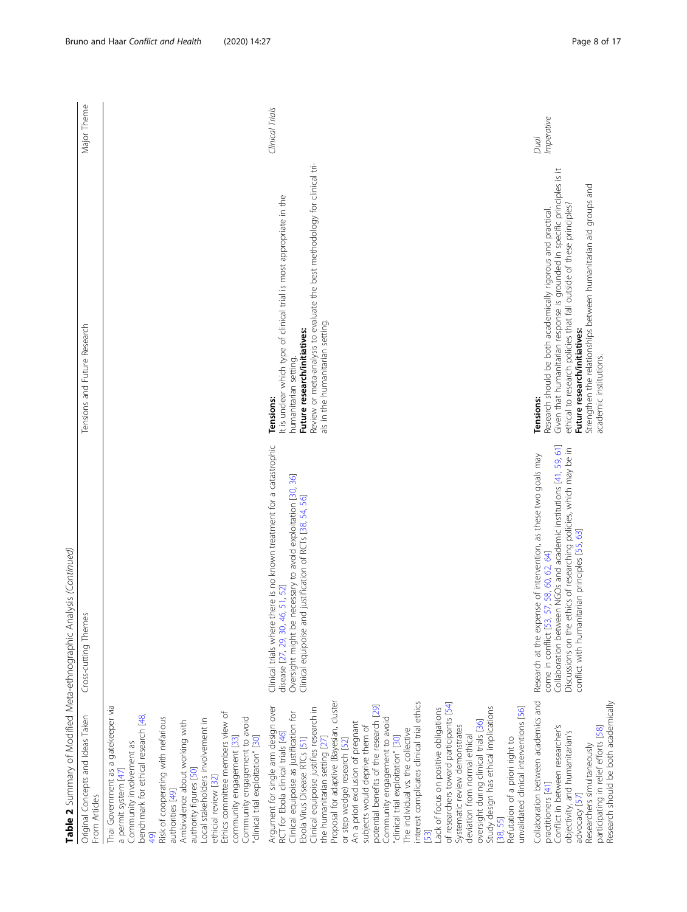|                                                                                                                                                                                                                                                                                                                                                                                                                                                                                                                                                                                                                                                                                                                                                                                                                                                                                                                               | Table 2 Summary of Modified Meta-ethnographic Analysis (Continued)                                                                                                                                                                                                                                        |                                                                                                                                                                                                                                                                                                                                                                    |                    |
|-------------------------------------------------------------------------------------------------------------------------------------------------------------------------------------------------------------------------------------------------------------------------------------------------------------------------------------------------------------------------------------------------------------------------------------------------------------------------------------------------------------------------------------------------------------------------------------------------------------------------------------------------------------------------------------------------------------------------------------------------------------------------------------------------------------------------------------------------------------------------------------------------------------------------------|-----------------------------------------------------------------------------------------------------------------------------------------------------------------------------------------------------------------------------------------------------------------------------------------------------------|--------------------------------------------------------------------------------------------------------------------------------------------------------------------------------------------------------------------------------------------------------------------------------------------------------------------------------------------------------------------|--------------------|
| Original Concepts and Ideas Taken<br>From Articles                                                                                                                                                                                                                                                                                                                                                                                                                                                                                                                                                                                                                                                                                                                                                                                                                                                                            | Cross-cutting Themes                                                                                                                                                                                                                                                                                      | Tensions and Future Research                                                                                                                                                                                                                                                                                                                                       | Major Theme        |
| Thai Government as a gatekeeper via<br>Ethics committee members view of<br>Community involvement as<br>benchmark for ethical research [48,<br>Risk of cooperating with nefarious<br>Community engagement to avoid<br>Local stakeholders involvement in<br>Ambivalence about working with<br>"clinical trial exploitation" [30]<br>community engagement [33]<br>authority figures [50]<br>a permit system [47]<br>ethicial review [32]<br>authorities [49]<br>$\overline{6}$                                                                                                                                                                                                                                                                                                                                                                                                                                                   |                                                                                                                                                                                                                                                                                                           |                                                                                                                                                                                                                                                                                                                                                                    |                    |
| Proposal for adaptive (Bayesian, cluster<br>interest complicates clinical trial ethics<br>of researchers toward participants [54]<br>potential benefits of the research [29]<br>Argument for single arm design over<br>Study design has ethical implications<br>Clinical equipoise justifies research in<br>unvalidated clinical interventions [56]<br>Lack of focus on positive obligations<br>Clinical equipoise as justification for<br>Community engagement to avoid<br>oversight during clinical trials [36]<br>An a priori exclusion of pregnant<br>subjects would deprive them of<br>Systematic review demonstrates<br>The individual vs. the collective<br>RCT for Ebola clinical trials [46]<br>deviation from normal ethical<br>"clinical trial exploitation" [30]<br>Ebola Virus Disease RTCs [51]<br>Refutation of a priori right to<br>the humanitarian setting [27]<br>or step wedge) research [52]<br>[38, 55] | Clinical trials where there is no known treatment for a catastrophic<br>Oversight might be necessary to avoid exploitation [30, 36]<br>Clinical equipoise and justification of RCTs [38, 54, 56]<br>disease [27, 29, 30, 46, 51, 52]                                                                      | Review or meta-analysis to evaluate the best methodology for clinical tri-<br>It is unclear which type of clinical trial is most appropriate in the<br>als in the humanitarian setting.<br>Future research/initiatives:<br>humanitarian setting<br><b>Tensions:</b>                                                                                                | Clinical Trials    |
| Collaboration between academics and<br>Research should be both academically<br>Conflict in between researcher's<br>participating in relief efforts [58]<br>objectivity, and humanitarian's<br>Researchers simultaneously<br>practitioners [41]<br>advocacy [57]                                                                                                                                                                                                                                                                                                                                                                                                                                                                                                                                                                                                                                                               | Collaboration between NGOs and academic institutions [41, 59, 61]<br>Discussions on the ethics of researching policies, which may be in<br>Research at the expense of intervention, as these two goals may<br>conflict with humanitarian principles [55, 63]<br>come in conflict [53, 57, 58, 60, 62, 64] | Given that humanitarian response is grounded in specific principles is it<br>Strengthen the relationships between humanitarian aid groups and<br>ethical to research policies that fall outside of these principles?<br>Research should be both academically rigorous and practical.<br>Future research/initiatives:<br>academic institutions.<br><b>Tensions:</b> | Imperative<br>Dual |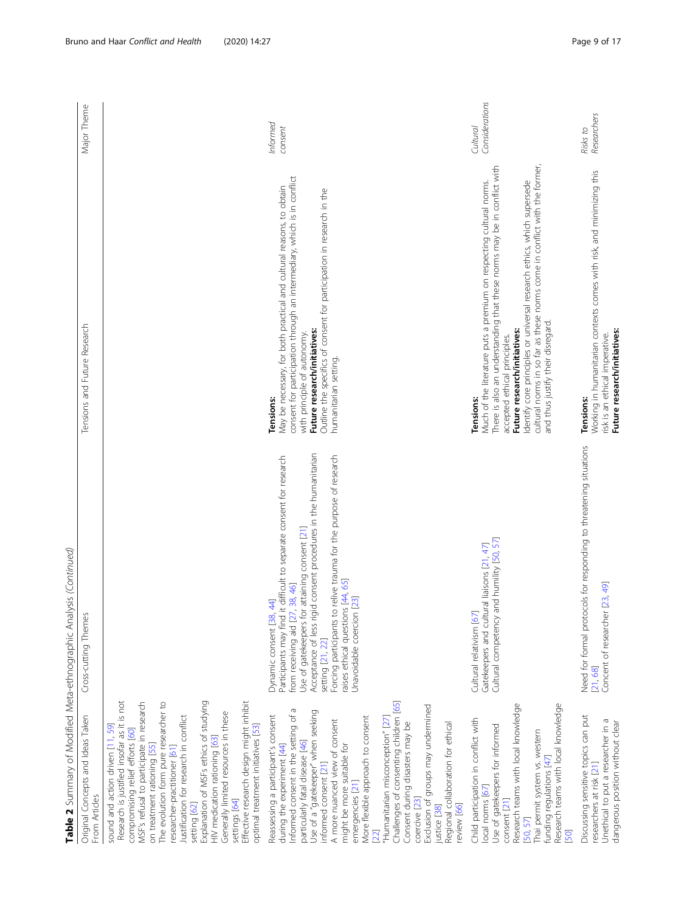|                                                                    | Major Theme                                        |                                                                                                                                                                                                                                                                                                                                                                                                                                                                                                                                                       |                                                                                                                                                                                                                                                                                                                                                                                                                                                                                                                                                                                    | Informed<br>consent                                                                                                                                                                                                                                                                                                                                                                                                            | Considerations<br>Cultural                                                                                                                                  |
|--------------------------------------------------------------------|----------------------------------------------------|-------------------------------------------------------------------------------------------------------------------------------------------------------------------------------------------------------------------------------------------------------------------------------------------------------------------------------------------------------------------------------------------------------------------------------------------------------------------------------------------------------------------------------------------------------|------------------------------------------------------------------------------------------------------------------------------------------------------------------------------------------------------------------------------------------------------------------------------------------------------------------------------------------------------------------------------------------------------------------------------------------------------------------------------------------------------------------------------------------------------------------------------------|--------------------------------------------------------------------------------------------------------------------------------------------------------------------------------------------------------------------------------------------------------------------------------------------------------------------------------------------------------------------------------------------------------------------------------|-------------------------------------------------------------------------------------------------------------------------------------------------------------|
|                                                                    | Tensions and Future Research                       |                                                                                                                                                                                                                                                                                                                                                                                                                                                                                                                                                       | consent for participation through an intermediary, which is in conflict<br>May be necessary, for both practical and cultural reasons, to obtain<br>Outline the specifics of consent for participation in research in the<br>Future research/initiatives:<br>with principle of autonomy.<br>humanitarian setting.<br><b>Tensions:</b>                                                                                                                                                                                                                                               | cultural norms in so far as these norms come in conflict with the former,<br>There is also an understanding that these norms may be in conflict with<br>Much of the literature puts a premium on respecting cultural norms.<br>Identify core principles or universal research ethics, which supersede<br>and thus justify their disregard.<br>Future research/initiatives:<br>accepted ethical principles.<br><b>Tensions:</b> | Working in humanitarian contexts comes with risk, and minimizing this<br>Future research/initiatives:<br>risk is an ethical imperative.<br><b>Tensions:</b> |
| Table 2 Summary of Modified Meta-ethnographic Analysis (Continued) | Cross-cutting Themes                               |                                                                                                                                                                                                                                                                                                                                                                                                                                                                                                                                                       | Acceptance of less rigid consent procedures in the humanitarian<br>Forcing participants to relive trauma for the purpose of research<br>Participants may find it difficult to separate consent for research<br>Use of gatekeepers for attaining consent [21]<br>raises ethical questions [44, 65]<br>from receiving aid [27, 38, 46]<br>Unavoidable coercion [23]<br>Dynamic consent [38, 44]<br>setting [21, 22]                                                                                                                                                                  | Cultural competency and humility [50, 57]<br>Gatekeepers and cultural liaisons [21, 47]<br>Cultural relativism [67]                                                                                                                                                                                                                                                                                                            | Need for formal protocols for responding to threatening situations<br>Concent of researcher [23, 49]<br>[21, 68]                                            |
|                                                                    | Original Concepts and Ideas Taken<br>From Articles | Explanation of MSFs ethics of studying<br>Research is justified insofar as it is not<br>Effective research design might inhibit<br>MSF's refusal to participate in research<br>The evolution form pure researcher to<br>Generally limited resources in these<br>Justification for research in conflict<br>sound and action driven [11, 59]<br>optimal treatment initiatives [53]<br>compromising relief efforts [60]<br>HIV medication rationing [63]<br>on treatment rationing [55]<br>researcher-practitioner [61]<br>settings [64]<br>setting [62] | Challenges of consenting children [65]<br>Exclusion of groups may undermined<br>Informed consent in the setting of a<br>Use of a "gatekeeper" when seeking<br>Reassessing a participant's consent<br>More flexible approach to consent<br>"Humanitarian misconception" [27]<br>A more nuanced view of consent<br>Consent during disasters may be<br>Regional collaboration for ethical<br>particularly fatal disease [46]<br>during the experiment [44]<br>might be more suitable for<br>informed consent [21]<br>emergencies [21]<br>coercive [23]<br>justice [38]<br>review [66] | Research teams with local knowledge<br>Research teams with local knowledge<br>Child participation in conflict with<br>Use of gatekeepers for informed<br>Thai permit system vs. western<br>funding regulations [47]<br>local norms [67]<br>consent [21]<br>[50, 57]                                                                                                                                                            | Discussing sensitive topics can put<br>Unethical to put a researcher in a<br>dangerous position without clear<br>researchers at risk [21]                   |

Bruno and Haar Conflict and Health (2020) 14:27 example 12 and 2012 14:27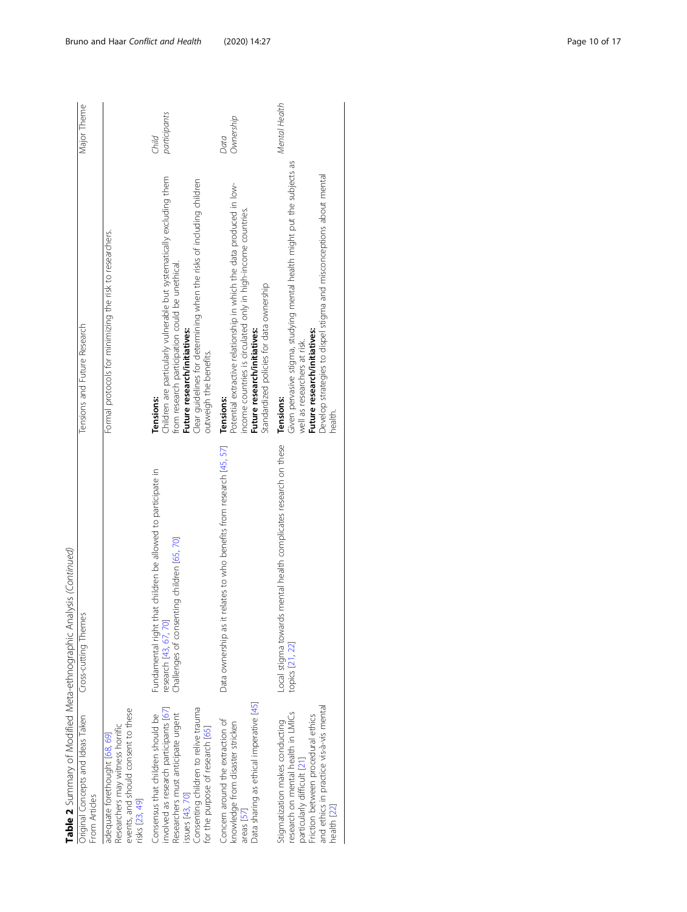| Original Concepts and Ideas Taken | Table 2 Summary of Modified Meta-ethnographic Analysis (Continued)                                                                  |                                                                                                                                                                                                                                                                                  |                       |
|-----------------------------------|-------------------------------------------------------------------------------------------------------------------------------------|----------------------------------------------------------------------------------------------------------------------------------------------------------------------------------------------------------------------------------------------------------------------------------|-----------------------|
|                                   | Cross-cutting Themes                                                                                                                | Tensions and Future Research                                                                                                                                                                                                                                                     | Major Theme           |
|                                   |                                                                                                                                     | Formal protocols for minimizing the risk to researchers.                                                                                                                                                                                                                         |                       |
|                                   | Fundamental right that children be allowed to participate in<br>Challenges of consenting children [65, 70]<br>research [43, 67, 70] | Children are particularly vulnerable but systematically excluding them<br>Clear guidelines for determining when the risks of including children<br>from research participation could be unethical.<br>Future research/initiatives:<br>outweigh the benefits.<br><b>Tensions:</b> | participants<br>Child |
|                                   | Data ownership as it relates to who benefits from research [45, 57]                                                                 | Potential extractive relationship in which the data produced in low-<br>income countries is circulated only in high-income countries.<br>Standardized policies for data ownership<br>Future research/initiatives:<br><b>Tensions:</b>                                            | Ownership<br>Data     |
|                                   | Local stigma towards mental health complicates research on these<br>topics [21, 22]                                                 | Given pervasive stigma, studying mental health might put the subjects as<br>Develop strategies to dispel stigma and misconceptions about mental<br>Future research/initiatives:<br>well as researchers at risk.<br><b>Tensions:</b><br>health                                    | Mental Health         |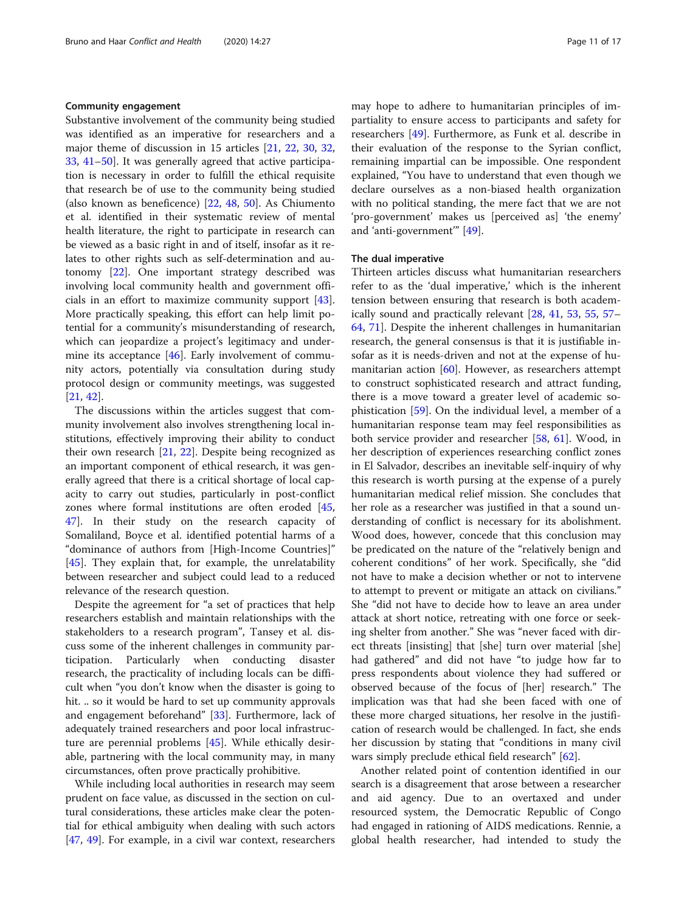#### Community engagement

Substantive involvement of the community being studied was identified as an imperative for researchers and a major theme of discussion in 15 articles [[21](#page-15-0), [22](#page-15-0), [30,](#page-16-0) [32](#page-16-0), [33,](#page-16-0) [41](#page-16-0)–[50\]](#page-16-0). It was generally agreed that active participation is necessary in order to fulfill the ethical requisite that research be of use to the community being studied (also known as beneficence) [\[22,](#page-15-0) [48,](#page-16-0) [50](#page-16-0)]. As Chiumento et al. identified in their systematic review of mental health literature, the right to participate in research can be viewed as a basic right in and of itself, insofar as it relates to other rights such as self-determination and autonomy [[22\]](#page-15-0). One important strategy described was involving local community health and government officials in an effort to maximize community support [\[43](#page-16-0)]. More practically speaking, this effort can help limit potential for a community's misunderstanding of research, which can jeopardize a project's legitimacy and under-mine its acceptance [\[46](#page-16-0)]. Early involvement of community actors, potentially via consultation during study protocol design or community meetings, was suggested [[21,](#page-15-0) [42\]](#page-16-0).

The discussions within the articles suggest that community involvement also involves strengthening local institutions, effectively improving their ability to conduct their own research [[21,](#page-15-0) [22](#page-15-0)]. Despite being recognized as an important component of ethical research, it was generally agreed that there is a critical shortage of local capacity to carry out studies, particularly in post-conflict zones where formal institutions are often eroded [[45](#page-16-0), [47\]](#page-16-0). In their study on the research capacity of Somaliland, Boyce et al. identified potential harms of a "dominance of authors from [High-Income Countries]" [[45\]](#page-16-0). They explain that, for example, the unrelatability between researcher and subject could lead to a reduced relevance of the research question.

Despite the agreement for "a set of practices that help researchers establish and maintain relationships with the stakeholders to a research program", Tansey et al. discuss some of the inherent challenges in community participation. Particularly when conducting disaster research, the practicality of including locals can be difficult when "you don't know when the disaster is going to hit. .. so it would be hard to set up community approvals and engagement beforehand" [\[33](#page-16-0)]. Furthermore, lack of adequately trained researchers and poor local infrastructure are perennial problems [\[45](#page-16-0)]. While ethically desirable, partnering with the local community may, in many circumstances, often prove practically prohibitive.

While including local authorities in research may seem prudent on face value, as discussed in the section on cultural considerations, these articles make clear the potential for ethical ambiguity when dealing with such actors [[47,](#page-16-0) [49](#page-16-0)]. For example, in a civil war context, researchers may hope to adhere to humanitarian principles of impartiality to ensure access to participants and safety for researchers [\[49](#page-16-0)]. Furthermore, as Funk et al. describe in their evaluation of the response to the Syrian conflict, remaining impartial can be impossible. One respondent explained, "You have to understand that even though we declare ourselves as a non-biased health organization with no political standing, the mere fact that we are not 'pro-government' makes us [perceived as] 'the enemy' and 'anti-government'" [\[49](#page-16-0)].

#### The dual imperative

Thirteen articles discuss what humanitarian researchers refer to as the 'dual imperative,' which is the inherent tension between ensuring that research is both academically sound and practically relevant [[28,](#page-15-0) [41](#page-16-0), [53,](#page-16-0) [55](#page-16-0), [57](#page-16-0)– [64,](#page-16-0) [71\]](#page-16-0). Despite the inherent challenges in humanitarian research, the general consensus is that it is justifiable insofar as it is needs-driven and not at the expense of humanitarian action [\[60](#page-16-0)]. However, as researchers attempt to construct sophisticated research and attract funding, there is a move toward a greater level of academic sophistication [[59\]](#page-16-0). On the individual level, a member of a humanitarian response team may feel responsibilities as both service provider and researcher [[58,](#page-16-0) [61](#page-16-0)]. Wood, in her description of experiences researching conflict zones in El Salvador, describes an inevitable self-inquiry of why this research is worth pursing at the expense of a purely humanitarian medical relief mission. She concludes that her role as a researcher was justified in that a sound understanding of conflict is necessary for its abolishment. Wood does, however, concede that this conclusion may be predicated on the nature of the "relatively benign and coherent conditions" of her work. Specifically, she "did not have to make a decision whether or not to intervene to attempt to prevent or mitigate an attack on civilians." She "did not have to decide how to leave an area under attack at short notice, retreating with one force or seeking shelter from another." She was "never faced with direct threats [insisting] that [she] turn over material [she] had gathered" and did not have "to judge how far to press respondents about violence they had suffered or observed because of the focus of [her] research." The implication was that had she been faced with one of these more charged situations, her resolve in the justification of research would be challenged. In fact, she ends her discussion by stating that "conditions in many civil wars simply preclude ethical field research" [\[62\]](#page-16-0).

Another related point of contention identified in our search is a disagreement that arose between a researcher and aid agency. Due to an overtaxed and under resourced system, the Democratic Republic of Congo had engaged in rationing of AIDS medications. Rennie, a global health researcher, had intended to study the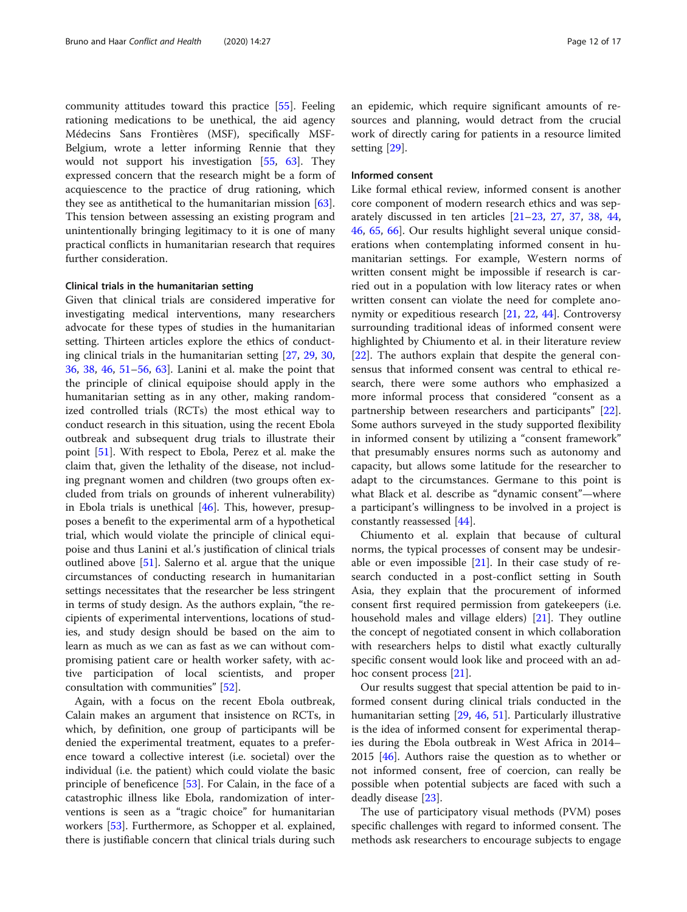community attitudes toward this practice [\[55](#page-16-0)]. Feeling rationing medications to be unethical, the aid agency Médecins Sans Frontières (MSF), specifically MSF-Belgium, wrote a letter informing Rennie that they would not support his investigation [[55,](#page-16-0) [63\]](#page-16-0). They expressed concern that the research might be a form of acquiescence to the practice of drug rationing, which they see as antithetical to the humanitarian mission  $[63]$  $[63]$ . This tension between assessing an existing program and unintentionally bringing legitimacy to it is one of many practical conflicts in humanitarian research that requires further consideration.

#### Clinical trials in the humanitarian setting

Given that clinical trials are considered imperative for investigating medical interventions, many researchers advocate for these types of studies in the humanitarian setting. Thirteen articles explore the ethics of conducting clinical trials in the humanitarian setting [[27,](#page-15-0) [29](#page-16-0), [30](#page-16-0), [36,](#page-16-0) [38](#page-16-0), [46,](#page-16-0) [51](#page-16-0)–[56](#page-16-0), [63\]](#page-16-0). Lanini et al. make the point that the principle of clinical equipoise should apply in the humanitarian setting as in any other, making randomized controlled trials (RCTs) the most ethical way to conduct research in this situation, using the recent Ebola outbreak and subsequent drug trials to illustrate their point [\[51\]](#page-16-0). With respect to Ebola, Perez et al. make the claim that, given the lethality of the disease, not including pregnant women and children (two groups often excluded from trials on grounds of inherent vulnerability) in Ebola trials is unethical [\[46\]](#page-16-0). This, however, presupposes a benefit to the experimental arm of a hypothetical trial, which would violate the principle of clinical equipoise and thus Lanini et al.'s justification of clinical trials outlined above [\[51\]](#page-16-0). Salerno et al. argue that the unique circumstances of conducting research in humanitarian settings necessitates that the researcher be less stringent in terms of study design. As the authors explain, "the recipients of experimental interventions, locations of studies, and study design should be based on the aim to learn as much as we can as fast as we can without compromising patient care or health worker safety, with active participation of local scientists, and proper consultation with communities" [[52](#page-16-0)].

Again, with a focus on the recent Ebola outbreak, Calain makes an argument that insistence on RCTs, in which, by definition, one group of participants will be denied the experimental treatment, equates to a preference toward a collective interest (i.e. societal) over the individual (i.e. the patient) which could violate the basic principle of beneficence [\[53](#page-16-0)]. For Calain, in the face of a catastrophic illness like Ebola, randomization of interventions is seen as a "tragic choice" for humanitarian workers [[53\]](#page-16-0). Furthermore, as Schopper et al. explained, there is justifiable concern that clinical trials during such an epidemic, which require significant amounts of resources and planning, would detract from the crucial work of directly caring for patients in a resource limited setting [\[29\]](#page-16-0).

#### Informed consent

Like formal ethical review, informed consent is another core component of modern research ethics and was separately discussed in ten articles [\[21](#page-15-0)–[23,](#page-15-0) [27](#page-15-0), [37,](#page-16-0) [38](#page-16-0), [44](#page-16-0), [46,](#page-16-0) [65](#page-16-0), [66\]](#page-16-0). Our results highlight several unique considerations when contemplating informed consent in humanitarian settings. For example, Western norms of written consent might be impossible if research is carried out in a population with low literacy rates or when written consent can violate the need for complete anonymity or expeditious research [\[21](#page-15-0), [22](#page-15-0), [44\]](#page-16-0). Controversy surrounding traditional ideas of informed consent were highlighted by Chiumento et al. in their literature review [[22\]](#page-15-0). The authors explain that despite the general consensus that informed consent was central to ethical research, there were some authors who emphasized a more informal process that considered "consent as a partnership between researchers and participants" [\[22](#page-15-0)]. Some authors surveyed in the study supported flexibility in informed consent by utilizing a "consent framework" that presumably ensures norms such as autonomy and capacity, but allows some latitude for the researcher to adapt to the circumstances. Germane to this point is what Black et al. describe as "dynamic consent"—where a participant's willingness to be involved in a project is constantly reassessed [\[44](#page-16-0)].

Chiumento et al. explain that because of cultural norms, the typical processes of consent may be undesirable or even impossible  $[21]$  $[21]$ . In their case study of research conducted in a post-conflict setting in South Asia, they explain that the procurement of informed consent first required permission from gatekeepers (i.e. household males and village elders) [[21\]](#page-15-0). They outline the concept of negotiated consent in which collaboration with researchers helps to distil what exactly culturally specific consent would look like and proceed with an adhoc consent process [[21](#page-15-0)].

Our results suggest that special attention be paid to informed consent during clinical trials conducted in the humanitarian setting [[29](#page-16-0), [46,](#page-16-0) [51](#page-16-0)]. Particularly illustrative is the idea of informed consent for experimental therapies during the Ebola outbreak in West Africa in 2014– 2015  $[46]$  $[46]$ . Authors raise the question as to whether or not informed consent, free of coercion, can really be possible when potential subjects are faced with such a deadly disease [[23](#page-15-0)].

The use of participatory visual methods (PVM) poses specific challenges with regard to informed consent. The methods ask researchers to encourage subjects to engage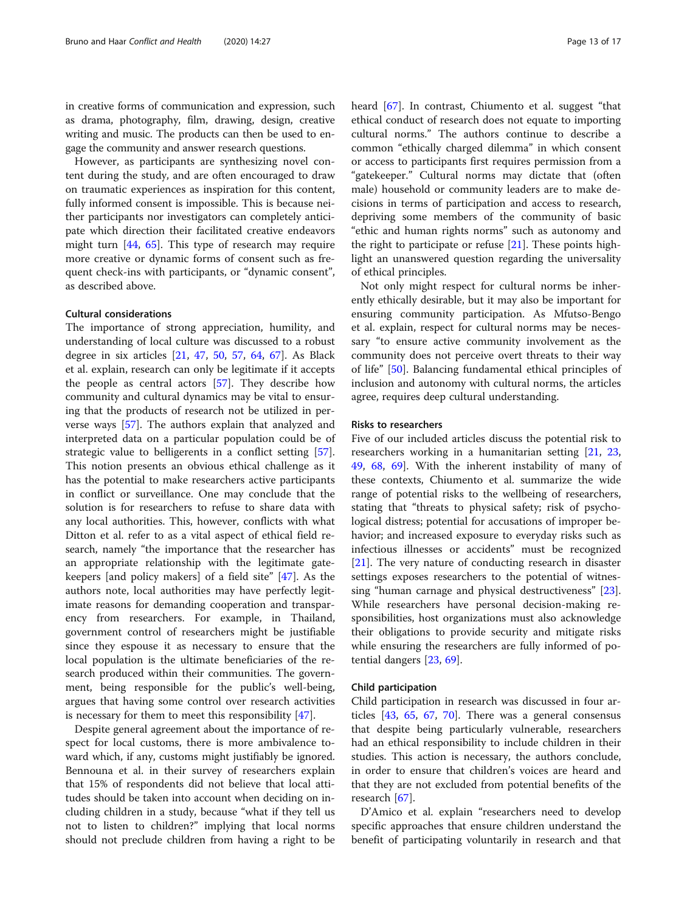in creative forms of communication and expression, such as drama, photography, film, drawing, design, creative writing and music. The products can then be used to engage the community and answer research questions.

However, as participants are synthesizing novel content during the study, and are often encouraged to draw on traumatic experiences as inspiration for this content, fully informed consent is impossible. This is because neither participants nor investigators can completely anticipate which direction their facilitated creative endeavors might turn [[44,](#page-16-0) [65\]](#page-16-0). This type of research may require more creative or dynamic forms of consent such as frequent check-ins with participants, or "dynamic consent", as described above.

#### Cultural considerations

The importance of strong appreciation, humility, and understanding of local culture was discussed to a robust degree in six articles [\[21](#page-15-0), [47](#page-16-0), [50,](#page-16-0) [57](#page-16-0), [64](#page-16-0), [67\]](#page-16-0). As Black et al. explain, research can only be legitimate if it accepts the people as central actors [[57](#page-16-0)]. They describe how community and cultural dynamics may be vital to ensuring that the products of research not be utilized in perverse ways [\[57](#page-16-0)]. The authors explain that analyzed and interpreted data on a particular population could be of strategic value to belligerents in a conflict setting [\[57](#page-16-0)]. This notion presents an obvious ethical challenge as it has the potential to make researchers active participants in conflict or surveillance. One may conclude that the solution is for researchers to refuse to share data with any local authorities. This, however, conflicts with what Ditton et al. refer to as a vital aspect of ethical field research, namely "the importance that the researcher has an appropriate relationship with the legitimate gatekeepers [and policy makers] of a field site" [\[47\]](#page-16-0). As the authors note, local authorities may have perfectly legitimate reasons for demanding cooperation and transparency from researchers. For example, in Thailand, government control of researchers might be justifiable since they espouse it as necessary to ensure that the local population is the ultimate beneficiaries of the research produced within their communities. The government, being responsible for the public's well-being, argues that having some control over research activities is necessary for them to meet this responsibility [[47](#page-16-0)].

Despite general agreement about the importance of respect for local customs, there is more ambivalence toward which, if any, customs might justifiably be ignored. Bennouna et al. in their survey of researchers explain that 15% of respondents did not believe that local attitudes should be taken into account when deciding on including children in a study, because "what if they tell us not to listen to children?" implying that local norms should not preclude children from having a right to be heard [\[67](#page-16-0)]. In contrast, Chiumento et al. suggest "that ethical conduct of research does not equate to importing cultural norms." The authors continue to describe a common "ethically charged dilemma" in which consent or access to participants first requires permission from a "gatekeeper." Cultural norms may dictate that (often male) household or community leaders are to make decisions in terms of participation and access to research, depriving some members of the community of basic "ethic and human rights norms" such as autonomy and the right to participate or refuse  $[21]$ . These points highlight an unanswered question regarding the universality of ethical principles.

Not only might respect for cultural norms be inherently ethically desirable, but it may also be important for ensuring community participation. As Mfutso-Bengo et al. explain, respect for cultural norms may be necessary "to ensure active community involvement as the community does not perceive overt threats to their way of life" [\[50](#page-16-0)]. Balancing fundamental ethical principles of inclusion and autonomy with cultural norms, the articles agree, requires deep cultural understanding.

#### Risks to researchers

Five of our included articles discuss the potential risk to researchers working in a humanitarian setting [[21,](#page-15-0) [23](#page-15-0), [49,](#page-16-0) [68,](#page-16-0) [69](#page-16-0)]. With the inherent instability of many of these contexts, Chiumento et al. summarize the wide range of potential risks to the wellbeing of researchers, stating that "threats to physical safety; risk of psychological distress; potential for accusations of improper behavior; and increased exposure to everyday risks such as infectious illnesses or accidents" must be recognized [[21\]](#page-15-0). The very nature of conducting research in disaster settings exposes researchers to the potential of witnessing "human carnage and physical destructiveness" [\[23](#page-15-0)]. While researchers have personal decision-making responsibilities, host organizations must also acknowledge their obligations to provide security and mitigate risks while ensuring the researchers are fully informed of potential dangers [\[23,](#page-15-0) [69\]](#page-16-0).

#### Child participation

Child participation in research was discussed in four articles [[43](#page-16-0), [65](#page-16-0), [67](#page-16-0), [70](#page-16-0)]. There was a general consensus that despite being particularly vulnerable, researchers had an ethical responsibility to include children in their studies. This action is necessary, the authors conclude, in order to ensure that children's voices are heard and that they are not excluded from potential benefits of the research [[67\]](#page-16-0).

D'Amico et al. explain "researchers need to develop specific approaches that ensure children understand the benefit of participating voluntarily in research and that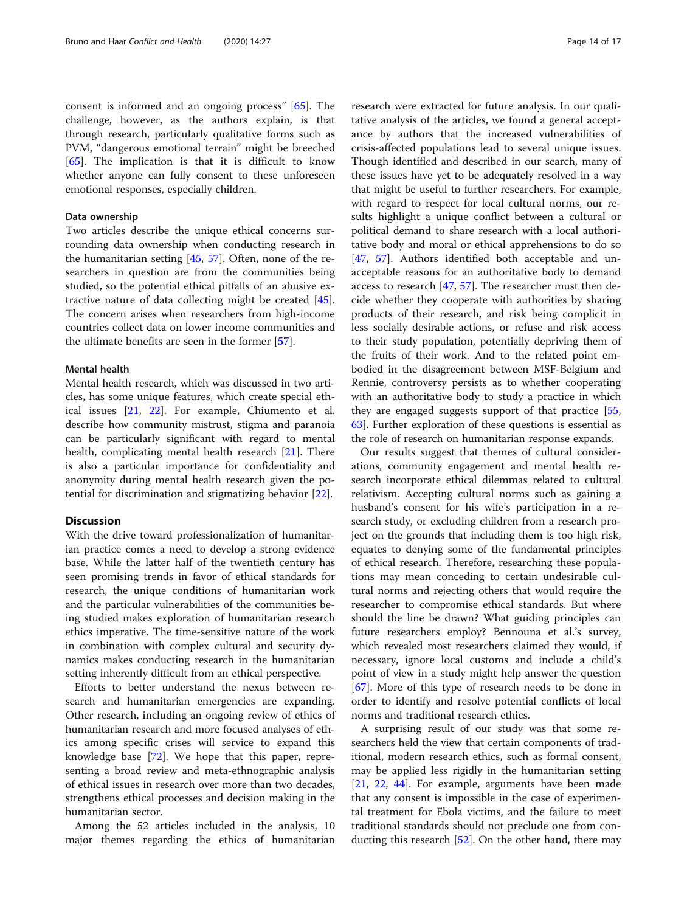consent is informed and an ongoing process" [\[65\]](#page-16-0). The challenge, however, as the authors explain, is that through research, particularly qualitative forms such as PVM, "dangerous emotional terrain" might be breeched [[65\]](#page-16-0). The implication is that it is difficult to know whether anyone can fully consent to these unforeseen emotional responses, especially children.

#### Data ownership

Two articles describe the unique ethical concerns surrounding data ownership when conducting research in the humanitarian setting [[45,](#page-16-0) [57\]](#page-16-0). Often, none of the researchers in question are from the communities being studied, so the potential ethical pitfalls of an abusive extractive nature of data collecting might be created [\[45](#page-16-0)]. The concern arises when researchers from high-income countries collect data on lower income communities and the ultimate benefits are seen in the former [[57\]](#page-16-0).

#### Mental health

Mental health research, which was discussed in two articles, has some unique features, which create special ethical issues [[21,](#page-15-0) [22](#page-15-0)]. For example, Chiumento et al. describe how community mistrust, stigma and paranoia can be particularly significant with regard to mental health, complicating mental health research [\[21\]](#page-15-0). There is also a particular importance for confidentiality and anonymity during mental health research given the potential for discrimination and stigmatizing behavior [\[22](#page-15-0)].

#### **Discussion**

With the drive toward professionalization of humanitarian practice comes a need to develop a strong evidence base. While the latter half of the twentieth century has seen promising trends in favor of ethical standards for research, the unique conditions of humanitarian work and the particular vulnerabilities of the communities being studied makes exploration of humanitarian research ethics imperative. The time-sensitive nature of the work in combination with complex cultural and security dynamics makes conducting research in the humanitarian setting inherently difficult from an ethical perspective.

Efforts to better understand the nexus between research and humanitarian emergencies are expanding. Other research, including an ongoing review of ethics of humanitarian research and more focused analyses of ethics among specific crises will service to expand this knowledge base [[72\]](#page-16-0). We hope that this paper, representing a broad review and meta-ethnographic analysis of ethical issues in research over more than two decades, strengthens ethical processes and decision making in the humanitarian sector.

Among the 52 articles included in the analysis, 10 major themes regarding the ethics of humanitarian

research were extracted for future analysis. In our qualitative analysis of the articles, we found a general acceptance by authors that the increased vulnerabilities of crisis-affected populations lead to several unique issues. Though identified and described in our search, many of these issues have yet to be adequately resolved in a way that might be useful to further researchers. For example, with regard to respect for local cultural norms, our results highlight a unique conflict between a cultural or political demand to share research with a local authoritative body and moral or ethical apprehensions to do so [[47,](#page-16-0) [57\]](#page-16-0). Authors identified both acceptable and unacceptable reasons for an authoritative body to demand access to research [[47,](#page-16-0) [57\]](#page-16-0). The researcher must then decide whether they cooperate with authorities by sharing products of their research, and risk being complicit in less socially desirable actions, or refuse and risk access to their study population, potentially depriving them of the fruits of their work. And to the related point embodied in the disagreement between MSF-Belgium and Rennie, controversy persists as to whether cooperating with an authoritative body to study a practice in which they are engaged suggests support of that practice [[55](#page-16-0), [63\]](#page-16-0). Further exploration of these questions is essential as the role of research on humanitarian response expands.

Our results suggest that themes of cultural considerations, community engagement and mental health research incorporate ethical dilemmas related to cultural relativism. Accepting cultural norms such as gaining a husband's consent for his wife's participation in a research study, or excluding children from a research project on the grounds that including them is too high risk, equates to denying some of the fundamental principles of ethical research. Therefore, researching these populations may mean conceding to certain undesirable cultural norms and rejecting others that would require the researcher to compromise ethical standards. But where should the line be drawn? What guiding principles can future researchers employ? Bennouna et al.'s survey, which revealed most researchers claimed they would, if necessary, ignore local customs and include a child's point of view in a study might help answer the question [[67\]](#page-16-0). More of this type of research needs to be done in order to identify and resolve potential conflicts of local norms and traditional research ethics.

A surprising result of our study was that some researchers held the view that certain components of traditional, modern research ethics, such as formal consent, may be applied less rigidly in the humanitarian setting [[21,](#page-15-0) [22](#page-15-0), [44](#page-16-0)]. For example, arguments have been made that any consent is impossible in the case of experimental treatment for Ebola victims, and the failure to meet traditional standards should not preclude one from conducting this research [[52\]](#page-16-0). On the other hand, there may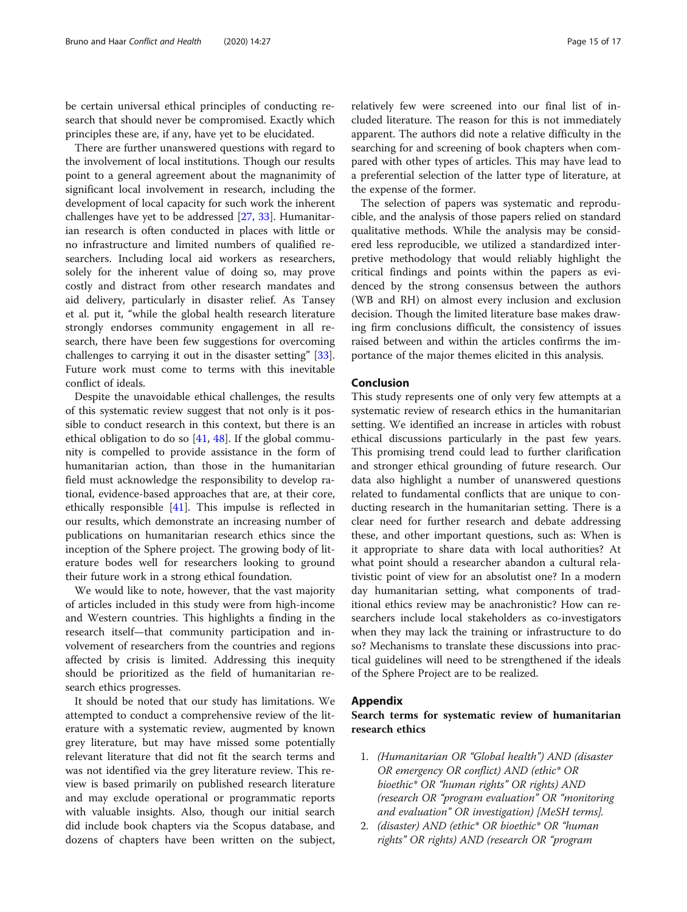<span id="page-14-0"></span>be certain universal ethical principles of conducting research that should never be compromised. Exactly which principles these are, if any, have yet to be elucidated.

There are further unanswered questions with regard to the involvement of local institutions. Though our results point to a general agreement about the magnanimity of significant local involvement in research, including the development of local capacity for such work the inherent challenges have yet to be addressed [[27,](#page-15-0) [33\]](#page-16-0). Humanitarian research is often conducted in places with little or no infrastructure and limited numbers of qualified researchers. Including local aid workers as researchers, solely for the inherent value of doing so, may prove costly and distract from other research mandates and aid delivery, particularly in disaster relief. As Tansey et al. put it, "while the global health research literature strongly endorses community engagement in all research, there have been few suggestions for overcoming challenges to carrying it out in the disaster setting" [\[33](#page-16-0)]. Future work must come to terms with this inevitable conflict of ideals.

Despite the unavoidable ethical challenges, the results of this systematic review suggest that not only is it possible to conduct research in this context, but there is an ethical obligation to do so [\[41,](#page-16-0) [48\]](#page-16-0). If the global community is compelled to provide assistance in the form of humanitarian action, than those in the humanitarian field must acknowledge the responsibility to develop rational, evidence-based approaches that are, at their core, ethically responsible [[41\]](#page-16-0). This impulse is reflected in our results, which demonstrate an increasing number of publications on humanitarian research ethics since the inception of the Sphere project. The growing body of literature bodes well for researchers looking to ground their future work in a strong ethical foundation.

We would like to note, however, that the vast majority of articles included in this study were from high-income and Western countries. This highlights a finding in the research itself—that community participation and involvement of researchers from the countries and regions affected by crisis is limited. Addressing this inequity should be prioritized as the field of humanitarian research ethics progresses.

It should be noted that our study has limitations. We attempted to conduct a comprehensive review of the literature with a systematic review, augmented by known grey literature, but may have missed some potentially relevant literature that did not fit the search terms and was not identified via the grey literature review. This review is based primarily on published research literature and may exclude operational or programmatic reports with valuable insights. Also, though our initial search did include book chapters via the Scopus database, and dozens of chapters have been written on the subject,

relatively few were screened into our final list of included literature. The reason for this is not immediately apparent. The authors did note a relative difficulty in the searching for and screening of book chapters when compared with other types of articles. This may have lead to a preferential selection of the latter type of literature, at the expense of the former.

The selection of papers was systematic and reproducible, and the analysis of those papers relied on standard qualitative methods. While the analysis may be considered less reproducible, we utilized a standardized interpretive methodology that would reliably highlight the critical findings and points within the papers as evidenced by the strong consensus between the authors (WB and RH) on almost every inclusion and exclusion decision. Though the limited literature base makes drawing firm conclusions difficult, the consistency of issues raised between and within the articles confirms the importance of the major themes elicited in this analysis.

#### Conclusion

This study represents one of only very few attempts at a systematic review of research ethics in the humanitarian setting. We identified an increase in articles with robust ethical discussions particularly in the past few years. This promising trend could lead to further clarification and stronger ethical grounding of future research. Our data also highlight a number of unanswered questions related to fundamental conflicts that are unique to conducting research in the humanitarian setting. There is a clear need for further research and debate addressing these, and other important questions, such as: When is it appropriate to share data with local authorities? At what point should a researcher abandon a cultural relativistic point of view for an absolutist one? In a modern day humanitarian setting, what components of traditional ethics review may be anachronistic? How can researchers include local stakeholders as co-investigators when they may lack the training or infrastructure to do so? Mechanisms to translate these discussions into practical guidelines will need to be strengthened if the ideals of the Sphere Project are to be realized.

#### Appendix

Search terms for systematic review of humanitarian research ethics

- 1. (Humanitarian OR "Global health") AND (disaster OR emergency OR conflict) AND (ethic\* OR bioethic\* OR "human rights" OR rights) AND (research OR "program evaluation" OR "monitoring and evaluation" OR investigation) [MeSH terms].
- 2. (disaster) AND (ethic\* OR bioethic\* OR "human rights" OR rights) AND (research OR "program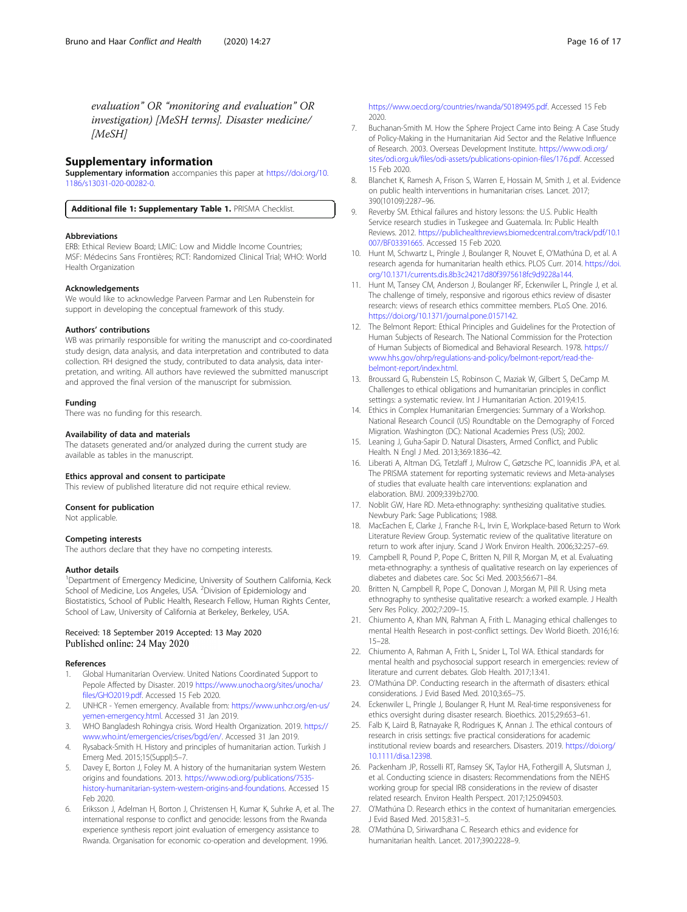<span id="page-15-0"></span>evaluation" OR "monitoring and evaluation" OR investigation) [MeSH terms]. Disaster medicine/ [MeSH]

#### Supplementary information

Supplementary information accompanies this paper at [https://doi.org/10.](https://doi.org/10.1186/s13031-020-00282-0) [1186/s13031-020-00282-0](https://doi.org/10.1186/s13031-020-00282-0).

Additional file 1: Supplementary Table 1. PRISMA Checklist.

#### Abbreviations

ERB: Ethical Review Board; LMIC: Low and Middle Income Countries; MSF: Médecins Sans Frontières; RCT: Randomized Clinical Trial; WHO: World Health Organization

#### Acknowledgements

We would like to acknowledge Parveen Parmar and Len Rubenstein for support in developing the conceptual framework of this study.

#### Authors' contributions

WB was primarily responsible for writing the manuscript and co-coordinated study design, data analysis, and data interpretation and contributed to data collection. RH designed the study, contributed to data analysis, data interpretation, and writing. All authors have reviewed the submitted manuscript and approved the final version of the manuscript for submission.

#### Funding

There was no funding for this research.

#### Availability of data and materials

The datasets generated and/or analyzed during the current study are available as tables in the manuscript.

#### Ethics approval and consent to participate

This review of published literature did not require ethical review.

#### Consent for publication

Not applicable.

#### Competing interests

The authors declare that they have no competing interests.

#### Author details

<sup>1</sup>Department of Emergency Medicine, University of Southern California, Keck School of Medicine, Los Angeles, USA. <sup>2</sup>Division of Epidemiology and Biostatistics, School of Public Health, Research Fellow, Human Rights Center, School of Law, University of California at Berkeley, Berkeley, USA.

#### Received: 18 September 2019 Accepted: 13 May 2020 Published online: 24 May 2020

#### References

- 1. Global Humanitarian Overview. United Nations Coordinated Support to Pepole Affected by Disaster. 2019 [https://www.unocha.org/sites/unocha/](https://www.unocha.org/sites/unocha/files/GHO2019.pdf) [files/GHO2019.pdf.](https://www.unocha.org/sites/unocha/files/GHO2019.pdf) Accessed 15 Feb 2020.
- 2. UNHCR Yemen emergency. Available from: [https://www.unhcr.org/en-us/](https://www.unhcr.org/en-us/yemen-emergency.html) [yemen-emergency.html.](https://www.unhcr.org/en-us/yemen-emergency.html) Accessed 31 Jan 2019.
- 3. WHO Bangladesh Rohingya crisis. Word Health Organization. 2019. [https://](https://www.who.int/emergencies/crises/bgd/en/) [www.who.int/emergencies/crises/bgd/en/](https://www.who.int/emergencies/crises/bgd/en/). Accessed 31 Jan 2019.
- 4. Rysaback-Smith H. History and principles of humanitarian action. Turkish J Emerg Med. 2015;15(Suppl):5–7.
- 5. Davey E, Borton J, Foley M. A history of the humanitarian system Western origins and foundations. 2013. [https://www.odi.org/publications/7535](https://www.odi.org/publications/7535-history-humanitarian-system-western-origins-and-foundations) [history-humanitarian-system-western-origins-and-foundations.](https://www.odi.org/publications/7535-history-humanitarian-system-western-origins-and-foundations) Accessed 15 Feb 2020.
- 6. Eriksson J, Adelman H, Borton J, Christensen H, Kumar K, Suhrke A, et al. The international response to conflict and genocide: lessons from the Rwanda experience synthesis report joint evaluation of emergency assistance to Rwanda. Organisation for economic co-operation and development. 1996.

[https://www.oecd.org/countries/rwanda/50189495.pdf.](https://www.oecd.org/countries/rwanda/50189495.pdf) Accessed 15 Feb 2020.

- 7. Buchanan-Smith M. How the Sphere Project Came into Being: A Case Study of Policy-Making in the Humanitarian Aid Sector and the Relative Influence of Research. 2003. Overseas Development Institute. [https://www.odi.org/](https://www.odi.org/sites/odi.org.uk/files/odi-assets/publications-opinion-files/176.pdf) [sites/odi.org.uk/files/odi-assets/publications-opinion-files/176.pdf](https://www.odi.org/sites/odi.org.uk/files/odi-assets/publications-opinion-files/176.pdf). Accessed 15 Feb 2020.
- 8. Blanchet K, Ramesh A, Frison S, Warren E, Hossain M, Smith J, et al. Evidence on public health interventions in humanitarian crises. Lancet. 2017; 390(10109):2287–96.
- 9. Reverby SM. Ethical failures and history lessons: the U.S. Public Health Service research studies in Tuskegee and Guatemala. In: Public Health Reviews. 2012. [https://publichealthreviews.biomedcentral.com/track/pdf/10.1](https://publichealthreviews.biomedcentral.com/track/pdf/10.1007/BF03391665) [007/BF03391665.](https://publichealthreviews.biomedcentral.com/track/pdf/10.1007/BF03391665) Accessed 15 Feb 2020.
- 10. Hunt M, Schwartz L, Pringle J, Boulanger R, Nouvet E, O'Mathúna D, et al. A research agenda for humanitarian health ethics. PLOS Curr. 2014. [https://doi.](https://doi.org/10.1371/currents.dis.8b3c24217d80f3975618fc9d9228a144) [org/10.1371/currents.dis.8b3c24217d80f3975618fc9d9228a144.](https://doi.org/10.1371/currents.dis.8b3c24217d80f3975618fc9d9228a144)
- 11. Hunt M, Tansey CM, Anderson J, Boulanger RF, Eckenwiler L, Pringle J, et al. The challenge of timely, responsive and rigorous ethics review of disaster research: views of research ethics committee members. PLoS One. 2016. [https://doi.org/10.1371/journal.pone.0157142.](https://doi.org/10.1371/journal.pone.0157142)
- 12. The Belmont Report: Ethical Principles and Guidelines for the Protection of Human Subjects of Research. The National Commission for the Protection of Human Subjects of Biomedical and Behavioral Research. 1978. [https://](https://www.hhs.gov/ohrp/regulations-and-policy/belmont-report/read-the-belmont-report/index.html) [www.hhs.gov/ohrp/regulations-and-policy/belmont-report/read-the](https://www.hhs.gov/ohrp/regulations-and-policy/belmont-report/read-the-belmont-report/index.html)[belmont-report/index.html.](https://www.hhs.gov/ohrp/regulations-and-policy/belmont-report/read-the-belmont-report/index.html)
- 13. Broussard G, Rubenstein LS, Robinson C, Maziak W, Gilbert S, DeCamp M. Challenges to ethical obligations and humanitarian principles in conflict settings: a systematic review. Int J Humanitarian Action. 2019;4:15.
- 14. Ethics in Complex Humanitarian Emergencies: Summary of a Workshop. National Research Council (US) Roundtable on the Demography of Forced Migration. Washington (DC): National Academies Press (US); 2002.
- 15. Leaning J, Guha-Sapir D. Natural Disasters, Armed Conflict, and Public Health. N Engl J Med. 2013;369:1836–42.
- 16. Liberati A, Altman DG, Tetzlaff J, Mulrow C, Gøtzsche PC, Ioannidis JPA, et al. The PRISMA statement for reporting systematic reviews and Meta-analyses of studies that evaluate health care interventions: explanation and elaboration. BMJ. 2009;339:b2700.
- 17. Noblit GW, Hare RD. Meta-ethnography: synthesizing qualitative studies. Newbury Park: Sage Publications; 1988.
- 18. MacEachen E, Clarke J, Franche R-L, Irvin E, Workplace-based Return to Work Literature Review Group. Systematic review of the qualitative literature on return to work after injury. Scand J Work Environ Health. 2006;32:257–69.
- 19. Campbell R, Pound P, Pope C, Britten N, Pill R, Morgan M, et al. Evaluating meta-ethnography: a synthesis of qualitative research on lay experiences of diabetes and diabetes care. Soc Sci Med. 2003;56:671–84.
- 20. Britten N, Campbell R, Pope C, Donovan J, Morgan M, Pill R. Using meta ethnography to synthesise qualitative research: a worked example. J Health Serv Res Policy. 2002;7:209–15.
- 21. Chiumento A, Khan MN, Rahman A, Frith L. Managing ethical challenges to mental Health Research in post-conflict settings. Dev World Bioeth. 2016;16: 15–28.
- 22. Chiumento A, Rahman A, Frith L, Snider L, Tol WA. Ethical standards for mental health and psychosocial support research in emergencies: review of literature and current debates. Glob Health. 2017;13:41.
- 23. O'Mathúna DP. Conducting research in the aftermath of disasters: ethical considerations. J Evid Based Med. 2010;3:65–75.
- 24. Eckenwiler L, Pringle J, Boulanger R, Hunt M. Real-time responsiveness for ethics oversight during disaster research. Bioethics. 2015;29:653–61.
- 25. Falb K, Laird B, Ratnayake R, Rodrigues K, Annan J. The ethical contours of research in crisis settings: five practical considerations for academic institutional review boards and researchers. Disasters. 2019. [https://doi.org/](https://doi.org/10.1111/disa.12398) [10.1111/disa.12398](https://doi.org/10.1111/disa.12398).
- 26. Packenham JP, Rosselli RT, Ramsey SK, Taylor HA, Fothergill A, Slutsman J, et al. Conducting science in disasters: Recommendations from the NIEHS working group for special IRB considerations in the review of disaster related research. Environ Health Perspect. 2017;125:094503.
- 27. O'Mathúna D. Research ethics in the context of humanitarian emergencies. J Evid Based Med. 2015;8:31–5.
- 28. O'Mathúna D, Siriwardhana C. Research ethics and evidence for humanitarian health. Lancet. 2017;390:2228–9.